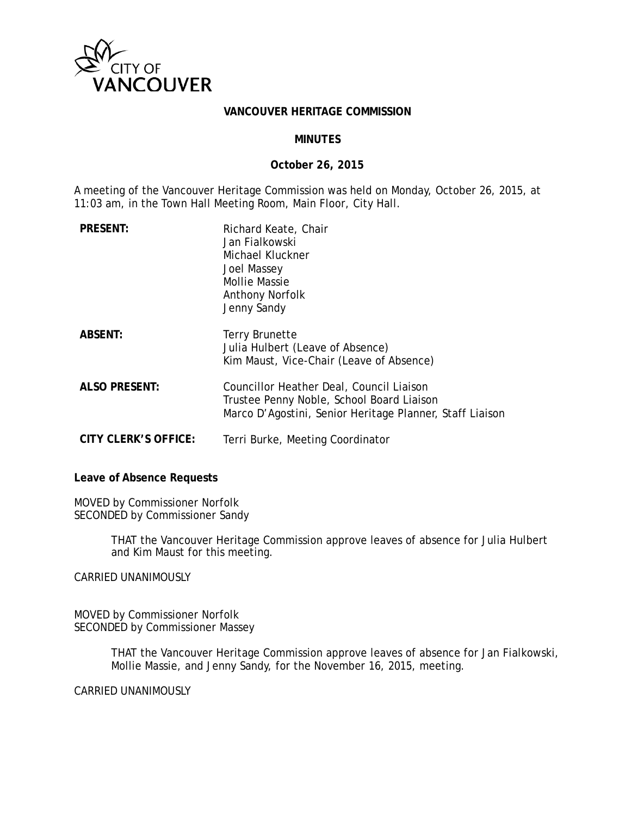

#### **VANCOUVER HERITAGE COMMISSION**

## **MINUTES**

### **October 26, 2015**

A meeting of the Vancouver Heritage Commission was held on Monday, October 26, 2015, at 11:03 am, in the Town Hall Meeting Room, Main Floor, City Hall.

| <b>PRESENT:</b>      | Richard Keate, Chair<br>Jan Fialkowski<br>Michael Kluckner<br>Joel Massey<br>Mollie Massie<br><b>Anthony Norfolk</b><br>Jenny Sandy               |
|----------------------|---------------------------------------------------------------------------------------------------------------------------------------------------|
| <b>ABSENT:</b>       | Terry Brunette<br>Julia Hulbert (Leave of Absence)<br>Kim Maust, Vice-Chair (Leave of Absence)                                                    |
| <b>ALSO PRESENT:</b> | Councillor Heather Deal, Council Liaison<br>Trustee Penny Noble, School Board Liaison<br>Marco D'Agostini, Senior Heritage Planner, Staff Liaison |
| CITY CLERK'S OFFICE: | Terri Burke, Meeting Coordinator                                                                                                                  |

**Leave of Absence Requests**

MOVED by Commissioner Norfolk SECONDED by Commissioner Sandy

> THAT the Vancouver Heritage Commission approve leaves of absence for Julia Hulbert and Kim Maust for this meeting.

CARRIED UNANIMOUSLY

MOVED by Commissioner Norfolk SECONDED by Commissioner Massey

> THAT the Vancouver Heritage Commission approve leaves of absence for Jan Fialkowski, Mollie Massie, and Jenny Sandy, for the November 16, 2015, meeting.

CARRIED UNANIMOUSLY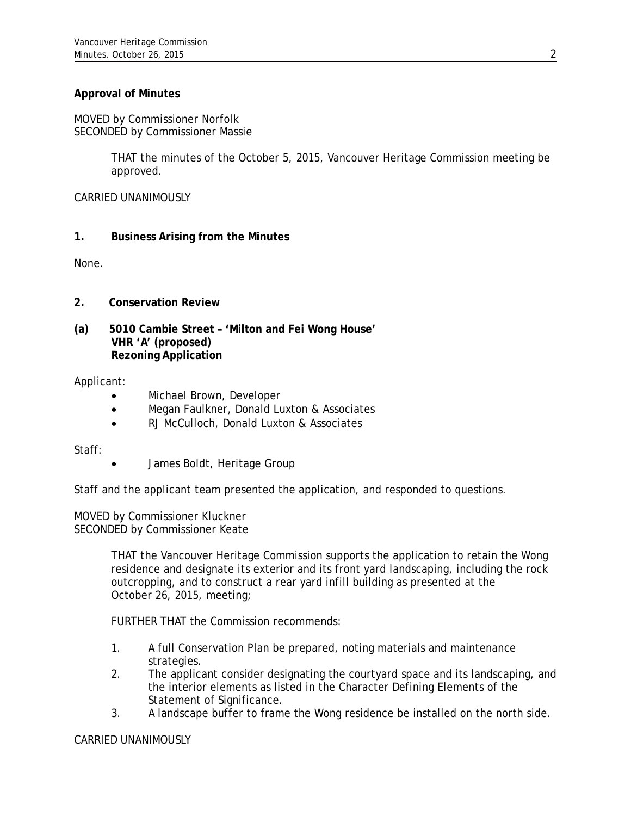# **Approval of Minutes**

MOVED by Commissioner Norfolk SECONDED by Commissioner Massie

> THAT the minutes of the October 5, 2015, Vancouver Heritage Commission meeting be approved.

CARRIED UNANIMOUSLY

# **1. Business Arising from the Minutes**

None.

- **2. Conservation Review**
- **(a) 5010 Cambie Street 'Milton and Fei Wong House' VHR 'A' (proposed) Rezoning Application**

### Applicant:

- Michael Brown, Developer
- Megan Faulkner, Donald Luxton & Associates
- RJ McCulloch, Donald Luxton & Associates

Staff:

• James Boldt, Heritage Group

Staff and the applicant team presented the application, and responded to questions.

MOVED by Commissioner Kluckner SECONDED by Commissioner Keate

> THAT the Vancouver Heritage Commission supports the application to retain the Wong residence and designate its exterior and its front yard landscaping, including the rock outcropping, and to construct a rear yard infill building as presented at the October 26, 2015, meeting;

FURTHER THAT the Commission recommends:

- 1. A full Conservation Plan be prepared, noting materials and maintenance strategies.
- 2. The applicant consider designating the courtyard space and its landscaping, and the interior elements as listed in the Character Defining Elements of the Statement of Significance.
- 3. A landscape buffer to frame the Wong residence be installed on the north side.

### CARRIED UNANIMOUSLY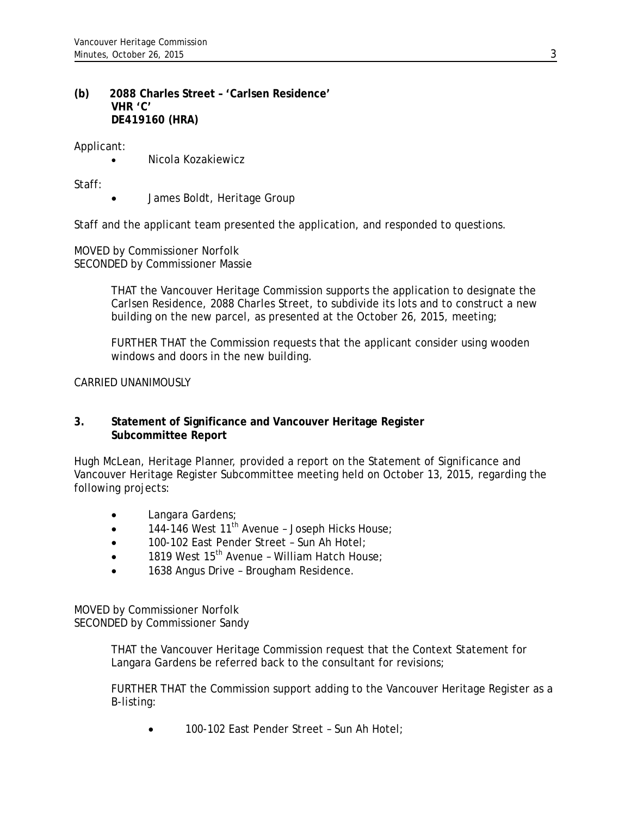## **(b) 2088 Charles Street – 'Carlsen Residence' VHR 'C' DE419160 (HRA)**

Applicant:

• Nicola Kozakiewicz

Staff:

• James Boldt, Heritage Group

Staff and the applicant team presented the application, and responded to questions.

MOVED by Commissioner Norfolk SECONDED by Commissioner Massie

> THAT the Vancouver Heritage Commission supports the application to designate the Carlsen Residence, 2088 Charles Street, to subdivide its lots and to construct a new building on the new parcel, as presented at the October 26, 2015, meeting;

FURTHER THAT the Commission requests that the applicant consider using wooden windows and doors in the new building.

CARRIED UNANIMOUSLY

## **3. Statement of Significance and Vancouver Heritage Register Subcommittee Report**

Hugh McLean, Heritage Planner, provided a report on the Statement of Significance and Vancouver Heritage Register Subcommittee meeting held on October 13, 2015, regarding the following projects:

- Langara Gardens;
- $\bullet$  144-146 West 11<sup>th</sup> Avenue Joseph Hicks House;
- 100-102 East Pender Street Sun Ah Hotel;
- 1819 West  $15<sup>th</sup>$  Avenue William Hatch House;
- 1638 Angus Drive Brougham Residence.

MOVED by Commissioner Norfolk SECONDED by Commissioner Sandy

> THAT the Vancouver Heritage Commission request that the Context Statement for Langara Gardens be referred back to the consultant for revisions;

FURTHER THAT the Commission support adding to the Vancouver Heritage Register as a B-listing:

• 100-102 East Pender Street – Sun Ah Hotel;